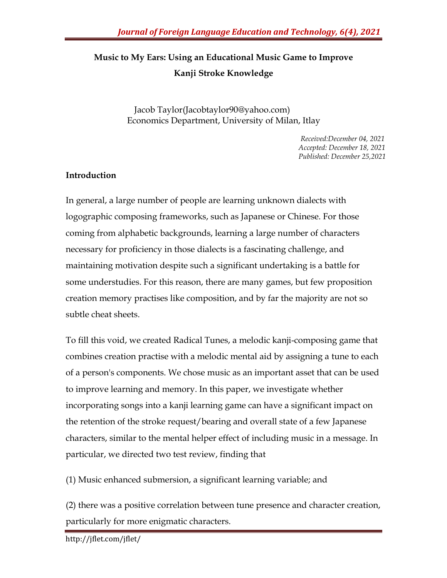## **Music to My Ears: Using an Educational Music Game to Improve Kanji Stroke Knowledge**

Jacob Taylor(Jacobtaylor90@yahoo.com) Economics Department, University of Milan, Itlay

> *Received:December 04, 2021 Accepted: December 18, 2021 Published: December 25,2021*

## **Introduction**

In general, a large number of people are learning unknown dialects with logographic composing frameworks, such as Japanese or Chinese. For those coming from alphabetic backgrounds, learning a large number of characters necessary for proficiency in those dialects is a fascinating challenge, and maintaining motivation despite such a significant undertaking is a battle for some understudies. For this reason, there are many games, but few proposition creation memory practises like composition, and by far the majority are not so subtle cheat sheets.

To fill this void, we created Radical Tunes, a melodic kanji-composing game that combines creation practise with a melodic mental aid by assigning a tune to each of a person's components. We chose music as an important asset that can be used to improve learning and memory. In this paper, we investigate whether incorporating songs into a kanji learning game can have a significant impact on the retention of the stroke request/bearing and overall state of a few Japanese characters, similar to the mental helper effect of including music in a message. In particular, we directed two test review, finding that

(1) Music enhanced submersion, a significant learning variable; and

(2) there was a positive correlation between tune presence and character creation, particularly for more enigmatic characters.